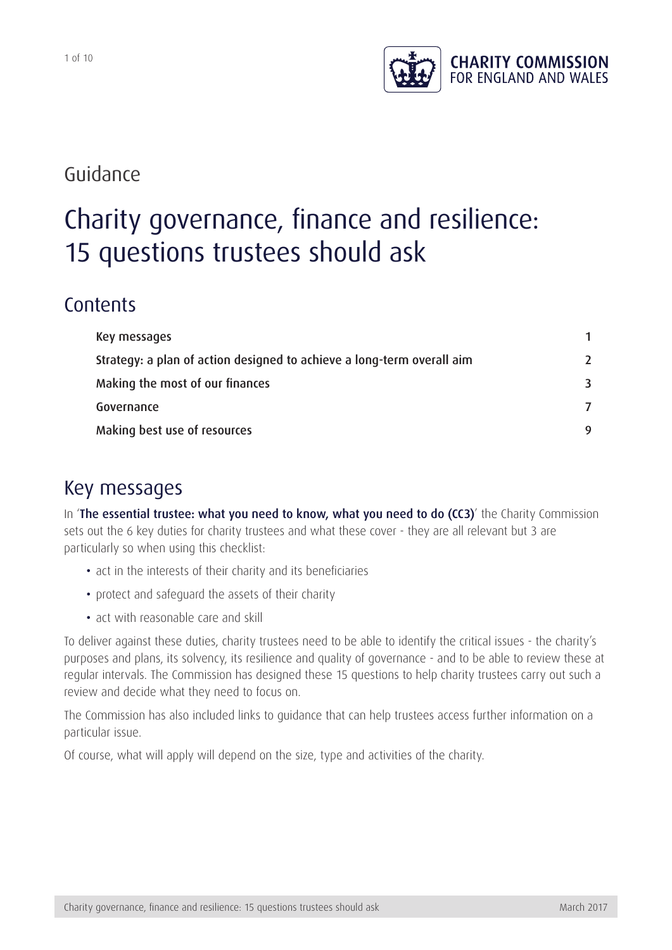

## Guidance

# Charity governance, finance and resilience: 15 questions trustees should ask

## **Contents**

| Key messages                                                           |               |
|------------------------------------------------------------------------|---------------|
| Strategy: a plan of action designed to achieve a long-term overall aim | $\mathcal{L}$ |
| Making the most of our finances                                        | 3             |
| Governance                                                             |               |
| Making best use of resources                                           | 9             |

## Key messages

In '[The essential trustee: what you need to know, what you need to do \(CC3\)](https://www.gov.uk/government/publications/the-essential-trustee-what-you-need-to-know-cc3)' the Charity Commission sets out the 6 key duties for charity trustees and what these cover - they are all relevant but 3 are particularly so when using this checklist:

- act in the interests of their charity and its beneficiaries
- protect and safeguard the assets of their charity
- act with reasonable care and skill

To deliver against these duties, charity trustees need to be able to identify the critical issues - the charity's purposes and plans, its solvency, its resilience and quality of governance - and to be able to review these at regular intervals. The Commission has designed these 15 questions to help charity trustees carry out such a review and decide what they need to focus on.

The Commission has also included links to guidance that can help trustees access further information on a particular issue.

Of course, what will apply will depend on the size, type and activities of the charity.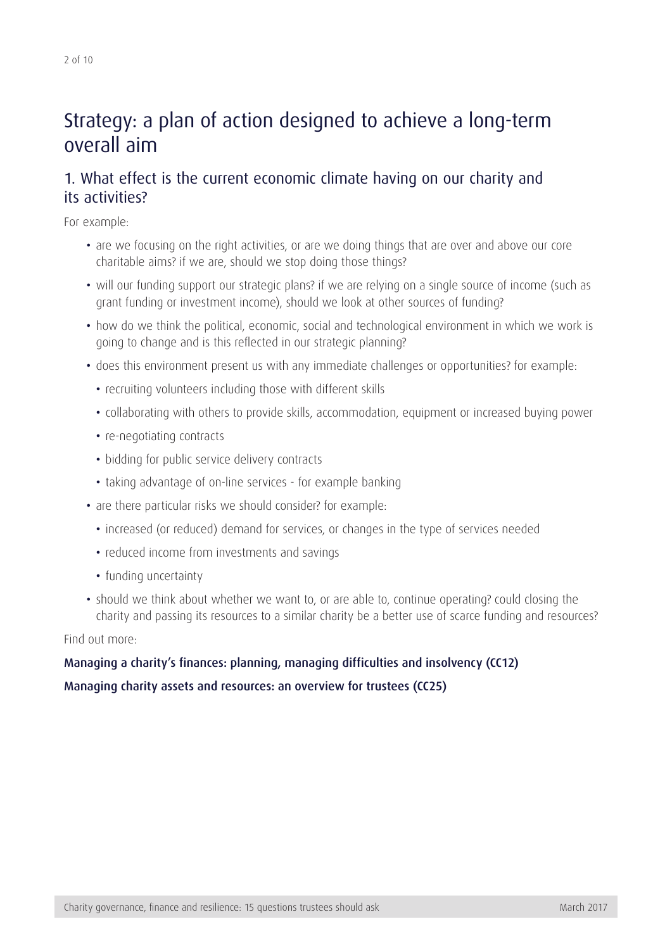## <span id="page-1-0"></span>Strategy: a plan of action designed to achieve a long-term overall aim

## 1. What effect is the current economic climate having on our charity and its activities?

For example:

- are we focusing on the right activities, or are we doing things that are over and above our core charitable aims? if we are, should we stop doing those things?
- will our funding support our strategic plans? if we are relying on a single source of income (such as grant funding or investment income), should we look at other sources of funding?
- how do we think the political, economic, social and technological environment in which we work is going to change and is this reflected in our strategic planning?
- does this environment present us with any immediate challenges or opportunities? for example:
	- recruiting volunteers including those with different skills
	- collaborating with others to provide skills, accommodation, equipment or increased buying power
	- re-negotiating contracts
	- bidding for public service delivery contracts
	- taking advantage of on-line services for example banking
- are there particular risks we should consider? for example:
	- increased (or reduced) demand for services, or changes in the type of services needed
	- reduced income from investments and savings
	- funding uncertainty
- should we think about whether we want to, or are able to, continue operating? could closing the charity and passing its resources to a similar charity be a better use of scarce funding and resources?

#### Find out more:

## [Managing a charity's finances: planning, managing difficulties and insolvency \(CC12\)](https://www.gov.uk/government/publications/managing-financial-difficulties-insolvency-in-charities-cc12) [Managing charity assets and resources: an overview for trustees \(CC25\)](https://www.gov.uk/government/publications/managing-charity-assets-and-resources-cc25)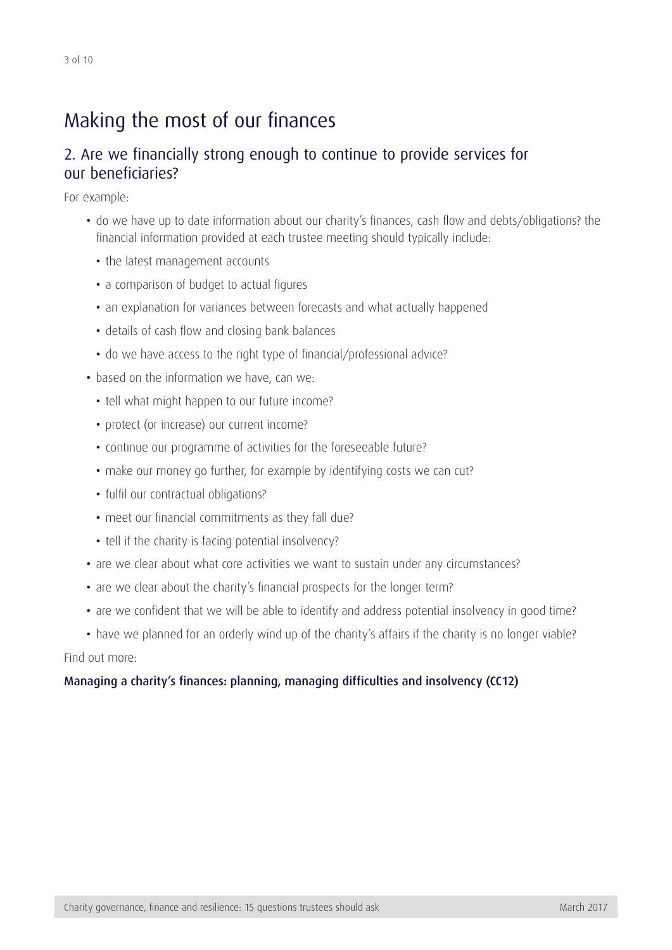## <span id="page-2-0"></span>Making the most of our finances

## 2. Are we financially strong enough to continue to provide services for our beneficiaries?

For example:

- do we have up to date information about our charity's finances, cash flow and debts/obligations? the financial information provided at each trustee meeting should typically include:
	- the latest management accounts
	- a comparison of budget to actual figures
	- an explanation for variances between forecasts and what actually happened
	- details of cash flow and closing bank balances
	- do we have access to the right type of financial/professional advice?
- based on the information we have, can we:
	- tell what might happen to our future income?
	- protect (or increase) our current income?
	- continue our programme of activities for the foreseeable future?
	- make our money go further, for example by identifying costs we can cut?
	- fulfil our contractual obligations?
	- meet our financial commitments as they fall due?
	- tell if the charity is facing potential insolvency?
- are we clear about what core activities we want to sustain under any circumstances?
- are we clear about the charity's financial prospects for the longer term?
- are we confident that we will be able to identify and address potential insolvency in good time?

• have we planned for an orderly wind up of the charity's affairs if the charity is no longer viable? Find out more:

#### [Managing a charity's finances: planning, managing difficulties and insolvency \(CC12\)](https://www.gov.uk/government/publications/managing-financial-difficulties-insolvency-in-charities-cc12)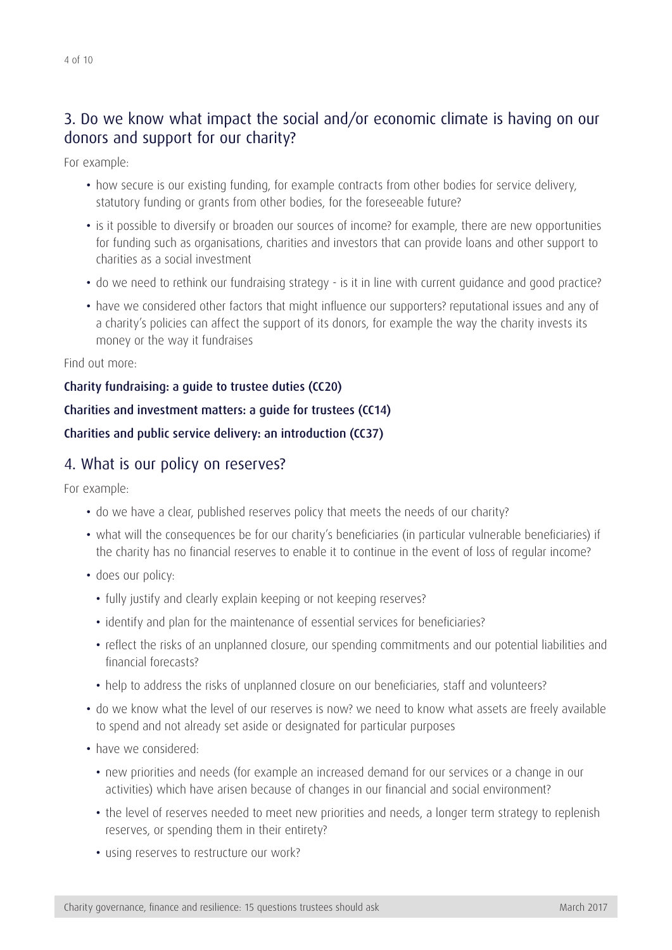## 3. Do we know what impact the social and/or economic climate is having on our donors and support for our charity?

For example:

- how secure is our existing funding, for example contracts from other bodies for service delivery, statutory funding or grants from other bodies, for the foreseeable future?
- is it possible to diversify or broaden our sources of income? for example, there are new opportunities for funding such as organisations, charities and investors that can provide loans and other support to charities as a social investment
- do we need to rethink our fundraising strategy is it in line with current guidance and good practice?
- have we considered other factors that might influence our supporters? reputational issues and any of a charity's policies can affect the support of its donors, for example the way the charity invests its money or the way it fundraises

Find out more:

#### [Charity fundraising: a guide to trustee duties \(CC20\)](https://www.gov.uk/government/publications/charities-and-fundraising-cc20)

#### [Charities and investment matters: a guide for trustees \(CC14\)](https://www.gov.uk/government/publications/charities-and-investment-matters-a-guide-for-trustees-cc14)

[Charities and public service delivery: an introduction \(CC37\)](https://www.gov.uk/government/publications/charities-and-public-service-delivery-an-introduction-cc37)

### 4. What is our policy on reserves?

For example:

- do we have a clear, published reserves policy that meets the needs of our charity?
- what will the consequences be for our charity's beneficiaries (in particular vulnerable beneficiaries) if the charity has no financial reserves to enable it to continue in the event of loss of regular income?
- does our policy:
	- fully justify and clearly explain keeping or not keeping reserves?
	- identify and plan for the maintenance of essential services for beneficiaries?
	- reflect the risks of an unplanned closure, our spending commitments and our potential liabilities and financial forecasts?
	- help to address the risks of unplanned closure on our beneficiaries, staff and volunteers?
- do we know what the level of our reserves is now? we need to know what assets are freely available to spend and not already set aside or designated for particular purposes
- have we considered:
	- new priorities and needs (for example an increased demand for our services or a change in our activities) which have arisen because of changes in our financial and social environment?
	- the level of reserves needed to meet new priorities and needs, a longer term strategy to replenish reserves, or spending them in their entirety?
	- using reserves to restructure our work?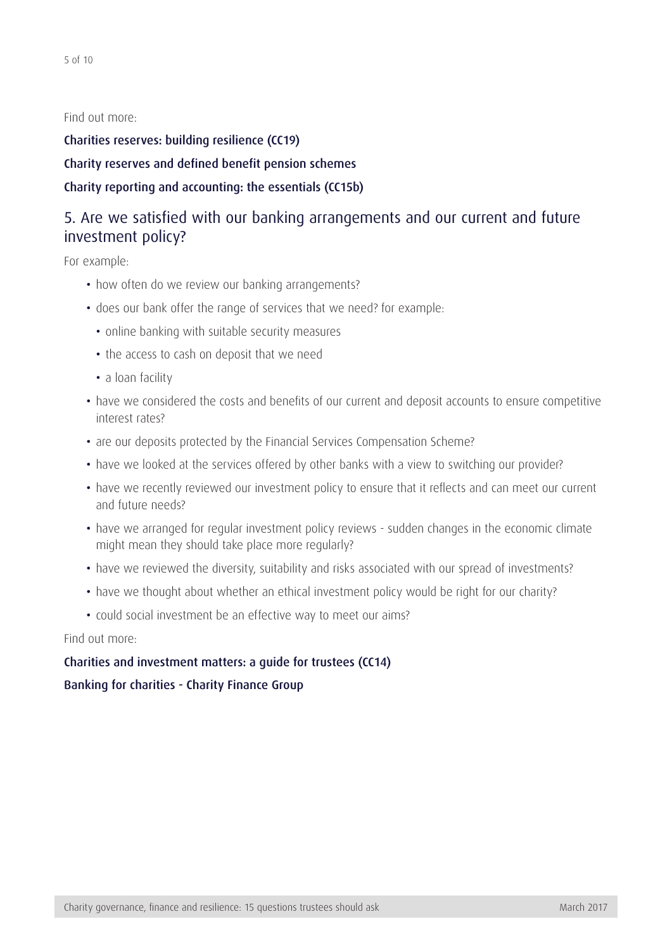Find out more:

[Charities reserves: building resilience \(CC19\)](https://www.gov.uk/government/publications/charities-and-reserves-cc19) [Charity reserves and defined benefit pension schemes](https://www.gov.uk/government/publications/defined-benefit-pension-schemes-questions-and-answers) [Charity reporting and accounting: the essentials \(CC15b\)](https://www.gov.uk/government/publications/charity-reporting-and-accounting-the-essentials-cc15b)

## 5. Are we satisfied with our banking arrangements and our current and future investment policy?

For example:

- how often do we review our banking arrangements?
- does our bank offer the range of services that we need? for example:
	- online banking with suitable security measures
	- the access to cash on deposit that we need
	- a loan facility
- have we considered the costs and benefits of our current and deposit accounts to ensure competitive interest rates?
- are our deposits protected by the Financial Services Compensation Scheme?
- have we looked at the services offered by other banks with a view to switching our provider?
- have we recently reviewed our investment policy to ensure that it reflects and can meet our current and future needs?
- have we arranged for regular investment policy reviews sudden changes in the economic climate might mean they should take place more regularly?
- have we reviewed the diversity, suitability and risks associated with our spread of investments?
- have we thought about whether an ethical investment policy would be right for our charity?
- could social investment be an effective way to meet our aims?

Find out more:

#### [Charities and investment matters: a guide for trustees \(CC14\)](https://www.gov.uk/government/publications/charities-and-investment-matters-a-guide-for-trustees-cc14)

[Banking for charities - Charity Finance Group](http://www.cfg.org.uk/~/media/Files/Resources/CFDG%20Publications/BBA_CFG_Banking_for_Charities.ashx)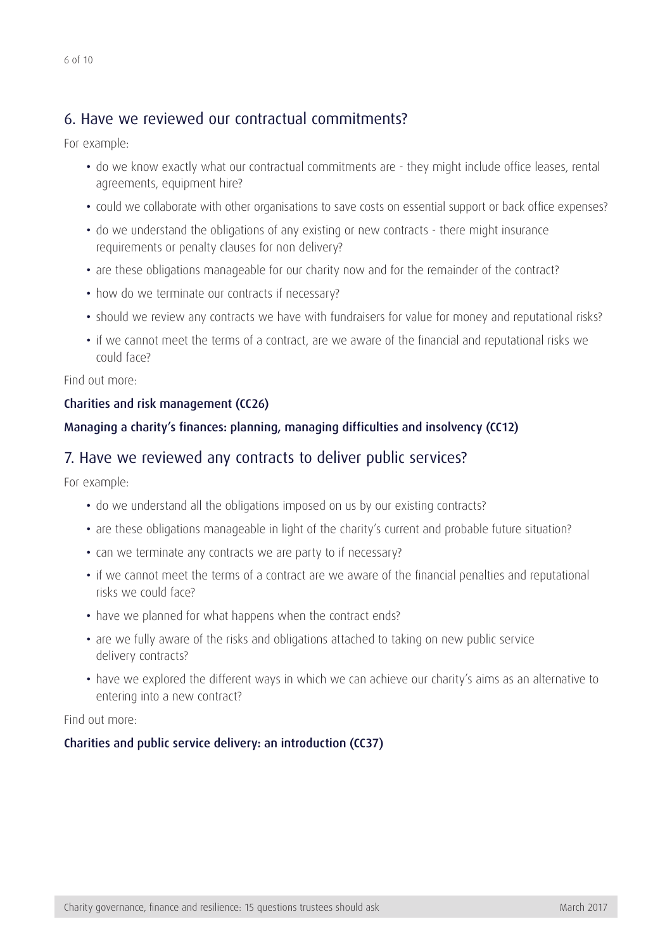## 6. Have we reviewed our contractual commitments?

For example:

- do we know exactly what our contractual commitments are they might include office leases, rental agreements, equipment hire?
- could we collaborate with other organisations to save costs on essential support or back office expenses?
- do we understand the obligations of any existing or new contracts there might insurance requirements or penalty clauses for non delivery?
- are these obligations manageable for our charity now and for the remainder of the contract?
- how do we terminate our contracts if necessary?
- should we review any contracts we have with fundraisers for value for money and reputational risks?
- if we cannot meet the terms of a contract, are we aware of the financial and reputational risks we could face?

Find out more:

#### [Charities and risk management \(CC26\)](https://www.gov.uk/government/publications/charities-and-risk-management-cc26)

#### [Managing a charity's finances: planning, managing difficulties and insolvency \(CC12\)](https://www.gov.uk/government/publications/managing-financial-difficulties-insolvency-in-charities-cc12)

#### 7. Have we reviewed any contracts to deliver public services?

For example:

- do we understand all the obligations imposed on us by our existing contracts?
- are these obligations manageable in light of the charity's current and probable future situation?
- can we terminate any contracts we are party to if necessary?
- if we cannot meet the terms of a contract are we aware of the financial penalties and reputational risks we could face?
- have we planned for what happens when the contract ends?
- are we fully aware of the risks and obligations attached to taking on new public service delivery contracts?
- have we explored the different ways in which we can achieve our charity's aims as an alternative to entering into a new contract?

Find out more:

#### [Charities and public service delivery: an introduction \(CC37\)](https://www.gov.uk/government/publications/charities-and-public-service-delivery-an-introduction-cc37)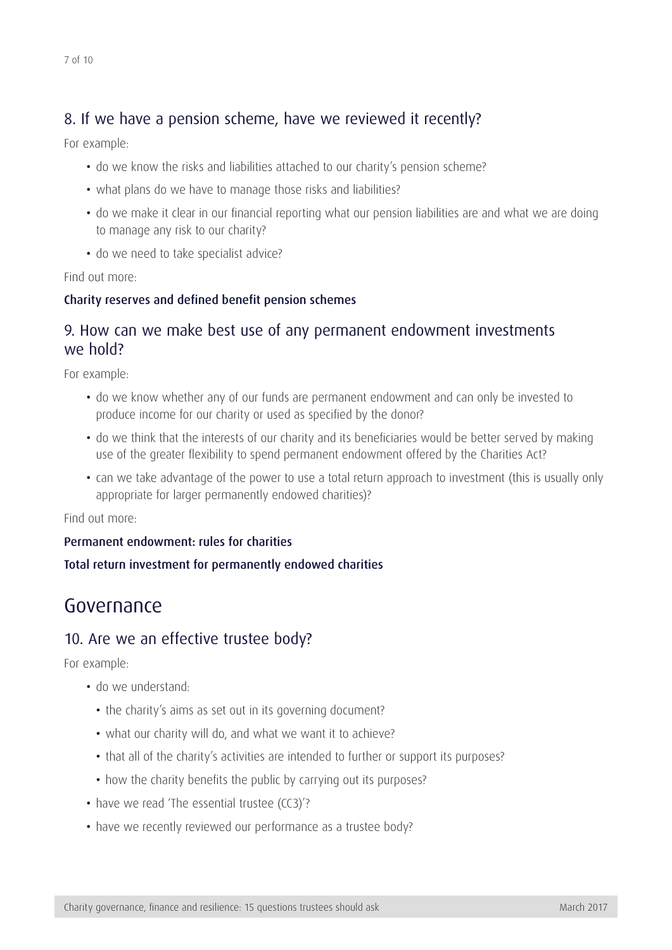## <span id="page-6-0"></span>8. If we have a pension scheme, have we reviewed it recently?

For example:

- do we know the risks and liabilities attached to our charity's pension scheme?
- what plans do we have to manage those risks and liabilities?
- do we make it clear in our financial reporting what our pension liabilities are and what we are doing to manage any risk to our charity?
- do we need to take specialist advice?

Find out more:

#### [Charity reserves and defined benefit pension schemes](https://www.gov.uk/government/publications/defined-benefit-pension-schemes-questions-and-answers)

### 9. How can we make best use of any permanent endowment investments we hold?

For example:

- do we know whether any of our funds are permanent endowment and can only be invested to produce income for our charity or used as specified by the donor?
- do we think that the interests of our charity and its beneficiaries would be better served by making use of the greater flexibility to spend permanent endowment offered by the Charities Act?
- can we take advantage of the power to use a total return approach to investment (this is usually only appropriate for larger permanently endowed charities)?

Find out more:

#### [Permanent endowment: rules for charities](https://www.gov.uk/permanent-endowment-rules-for-charities)

#### [Total return investment for permanently endowed charities](https://www.gov.uk/government/publications/total-return-investment-for-permanently-endowed-charities)

## Governance

### 10. Are we an effective trustee body?

For example:

- do we understand:
	- the charity's aims as set out in its governing document?
	- what our charity will do, and what we want it to achieve?
	- that all of the charity's activities are intended to further or support its purposes?
	- how the charity benefits the public by carrying out its purposes?
- have we read 'The essential trustee (CC3)'?
- have we recently reviewed our performance as a trustee body?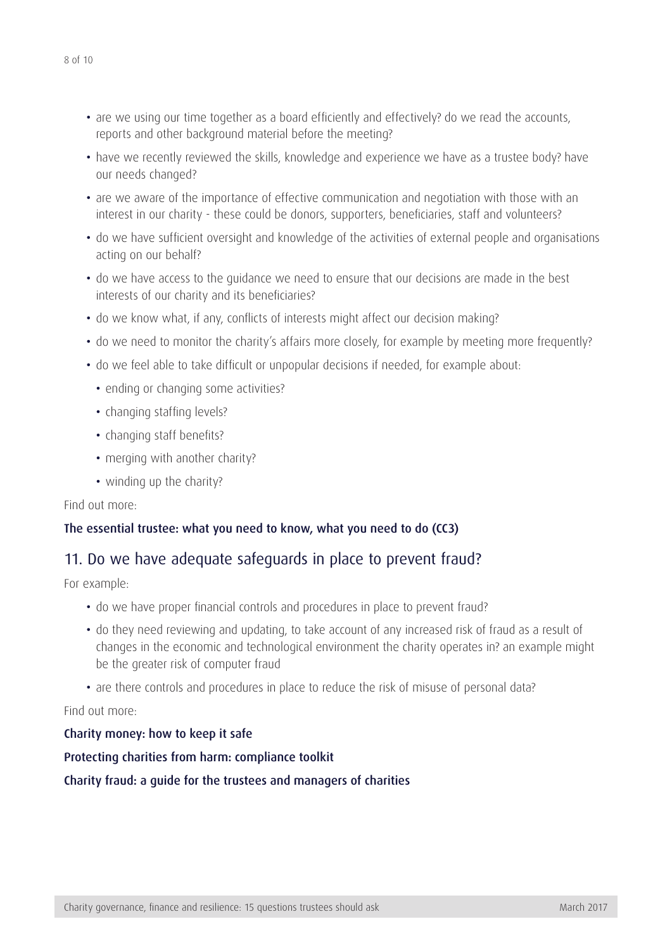- are we using our time together as a board efficiently and effectively? do we read the accounts, reports and other background material before the meeting?
- have we recently reviewed the skills, knowledge and experience we have as a trustee body? have our needs changed?
- are we aware of the importance of effective communication and negotiation with those with an interest in our charity - these could be donors, supporters, beneficiaries, staff and volunteers?
- do we have sufficient oversight and knowledge of the activities of external people and organisations acting on our behalf?
- do we have access to the guidance we need to ensure that our decisions are made in the best interests of our charity and its beneficiaries?
- do we know what, if any, conflicts of interests might affect our decision making?
- do we need to monitor the charity's affairs more closely, for example by meeting more frequently?
- do we feel able to take difficult or unpopular decisions if needed, for example about:
	- ending or changing some activities?
	- changing staffing levels?
	- changing staff benefits?
	- merging with another charity?
	- winding up the charity?

Find out more:

### [The essential trustee: what you need to know, what you need to do \(CC3\)](https://www.gov.uk/government/publications/the-essential-trustee-what-you-need-to-know-cc3)

## 11. Do we have adequate safeguards in place to prevent fraud?

For example:

- do we have proper financial controls and procedures in place to prevent fraud?
- do they need reviewing and updating, to take account of any increased risk of fraud as a result of changes in the economic and technological environment the charity operates in? an example might be the greater risk of computer fraud
- are there controls and procedures in place to reduce the risk of misuse of personal data?

Find out more:

[Charity money: how to keep it safe](https://www.gov.uk/charity-money-how-to-keep-it-safe)

[Protecting charities from harm: compliance toolkit](https://www.gov.uk/government/collections/protecting-charities-from-harm-compliance-toolkit)

#### [Charity fraud: a guide for the trustees and managers of charities](http://www.cfg.org.uk/Policy/finance-and-accounting/~/media/Files/Resources/CFDG%20Publications/charity_fraud_guide_full.ashx)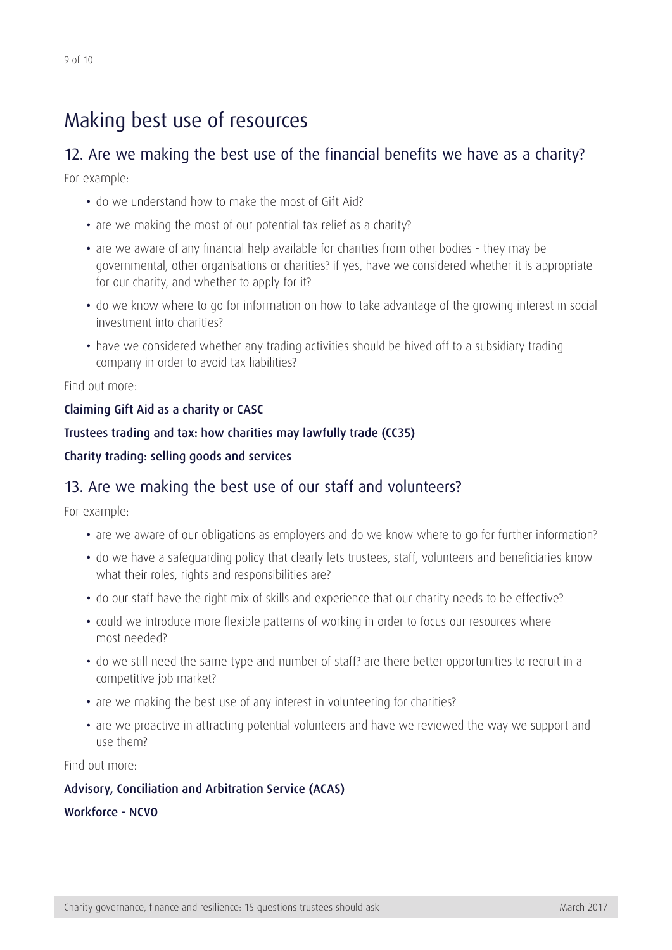## <span id="page-8-0"></span>Making best use of resources

## 12. Are we making the best use of the financial benefits we have as a charity?

For example:

- do we understand how to make the most of Gift Aid?
- are we making the most of our potential tax relief as a charity?
- are we aware of any financial help available for charities from other bodies they may be governmental, other organisations or charities? if yes, have we considered whether it is appropriate for our charity, and whether to apply for it?
- do we know where to go for information on how to take advantage of the growing interest in social investment into charities?
- have we considered whether any trading activities should be hived off to a subsidiary trading company in order to avoid tax liabilities?

Find out more:

#### [Claiming Gift Aid as a charity or CASC](https://www.gov.uk/claim-gift-aid)

#### [Trustees trading and tax: how charities may lawfully trade \(CC35\)](https://www.gov.uk/government/publications/trustees-trading-and-tax-how-charities-may-lawfully-trade-cc35)

#### [Charity trading: selling goods and services](https://www.gov.uk/charity-trading-selling-goods-and-services)

### 13. Are we making the best use of our staff and volunteers?

For example:

- are we aware of our obligations as employers and do we know where to go for further information?
- do we have a safeguarding policy that clearly lets trustees, staff, volunteers and beneficiaries know what their roles, rights and responsibilities are?
- do our staff have the right mix of skills and experience that our charity needs to be effective?
- could we introduce more flexible patterns of working in order to focus our resources where most needed?
- do we still need the same type and number of staff? are there better opportunities to recruit in a competitive job market?
- are we making the best use of any interest in volunteering for charities?
- are we proactive in attracting potential volunteers and have we reviewed the way we support and use them?

Find out more:

## [Advisory, Conciliation and Arbitration Service \(ACAS\)](http://www.acas.org.uk/) [Workforce - NCVO](https://www.ncvo.org.uk/practical-support/workforce)